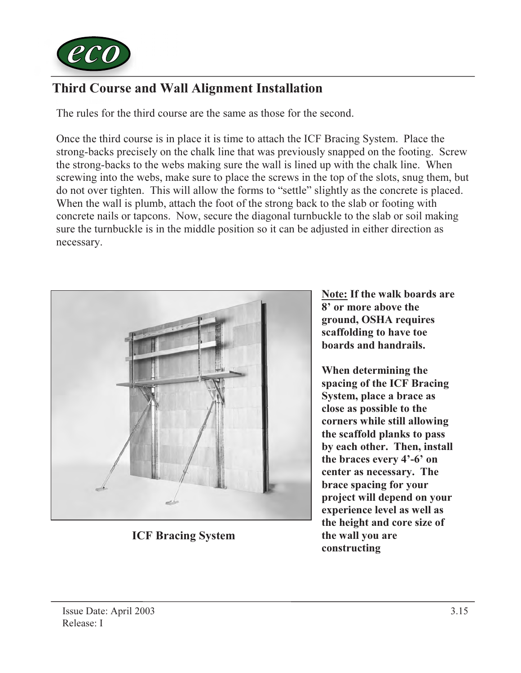

## Third Course and Wall Alignment Installation

The rules for the third course are the same as those for the second.

Once the third course is in place it is time to attach the ICF Bracing System. Place the strong-backs precisely on the chalk line that was previously snapped on the footing. Screw the strong-backs to the webs making sure the wall is lined up with the chalk line. When screwing into the webs, make sure to place the screws in the top of the slots, snug them, but do not over tighten. This will allow the forms to "settle" slightly as the concrete is placed. When the wall is plumb, attach the foot of the strong back to the slab or footing with concrete nails or tapcons. Now, secure the diagonal turnbuckle to the slab or soil making sure the turnbuckle is in the middle position so it can be adjusted in either direction as necessary.



ICF Bracing System

Note: If the walk boards are 8' or more above the ground, OSHA requires scaffolding to have toe boards and handrails.

When determining the spacing of the ICF Bracing System, place a brace as close as possible to the corners while still allowing the scaffold planks to pass by each other. Then, install the braces every 4'-6' on center as necessary. The brace spacing for your project will depend on your experience level as well as the height and core size of the wall you are constructing